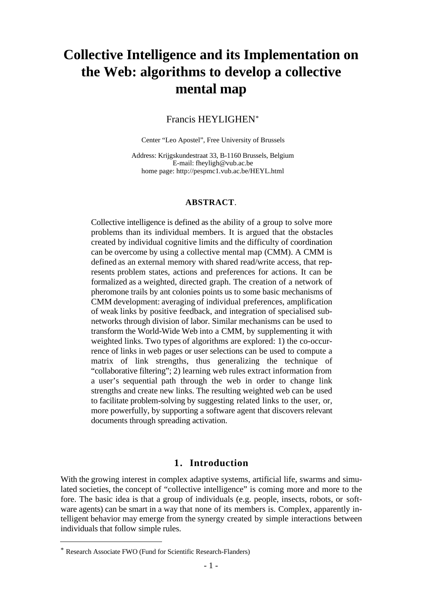# **Collective Intelligence and its Implementation on the Web: algorithms to develop a collective mental map**

#### Francis HEYLIGHEN\*

Center "Leo Apostel", Free University of Brussels

Address: Krijgskundestraat 33, B-1160 Brussels, Belgium E-mail: fheyligh@vub.ac.be home page: http://pespmc1.vub.ac.be/HEYL.html

#### **ABSTRACT**.

Collective intelligence is defined as the ability of a group to solve more problems than its individual members. It is argued that the obstacles created by individual cognitive limits and the difficulty of coordination can be overcome by using a collective mental map (CMM). A CMM is defined as an external memory with shared read/write access, that represents problem states, actions and preferences for actions. It can be formalized as a weighted, directed graph. The creation of a network of pheromone trails by ant colonies points us to some basic mechanisms of CMM development: averaging of individual preferences, amplification of weak links by positive feedback, and integration of specialised subnetworks through division of labor. Similar mechanisms can be used to transform the World-Wide Web into a CMM, by supplementing it with weighted links. Two types of algorithms are explored: 1) the co-occurrence of links in web pages or user selections can be used to compute a matrix of link strengths, thus generalizing the technique of "collaborative filtering"; 2) learning web rules extract information from a user's sequential path through the web in order to change link strengths and create new links. The resulting weighted web can be used to facilitate problem-solving by suggesting related links to the user, or, more powerfully, by supporting a software agent that discovers relevant documents through spreading activation.

#### **1. Introduction**

With the growing interest in complex adaptive systems, artificial life, swarms and simulated societies, the concept of "collective intelligence" is coming more and more to the fore. The basic idea is that a group of individuals (e.g. people, insects, robots, or software agents) can be smart in a way that none of its members is. Complex, apparently intelligent behavior may emerge from the synergy created by simple interactions between individuals that follow simple rules.

<sup>\*</sup> Research Associate FWO (Fund for Scientific Research-Flanders)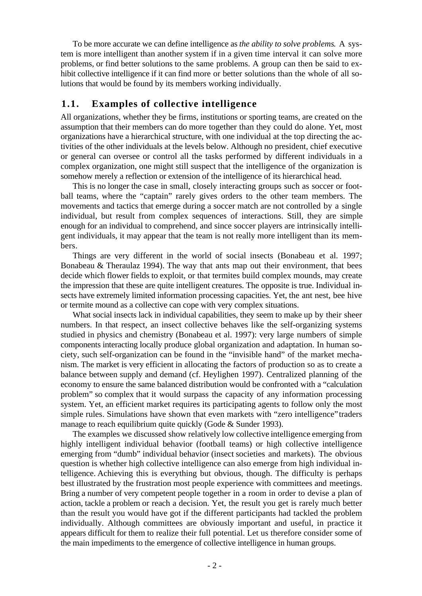To be more accurate we can define intelligence as *the ability to solve problems*. A system is more intelligent than another system if in a given time interval it can solve more problems, or find better solutions to the same problems. A group can then be said to exhibit collective intelligence if it can find more or better solutions than the whole of all solutions that would be found by its members working individually.

## **1.1. Examples of collective intelligence**

All organizations, whether they be firms, institutions or sporting teams, are created on the assumption that their members can do more together than they could do alone. Yet, most organizations have a hierarchical structure, with one individual at the top directing the activities of the other individuals at the levels below. Although no president, chief executive or general can oversee or control all the tasks performed by different individuals in a complex organization, one might still suspect that the intelligence of the organization is somehow merely a reflection or extension of the intelligence of its hierarchical head.

This is no longer the case in small, closely interacting groups such as soccer or football teams, where the "captain" rarely gives orders to the other team members. The movements and tactics that emerge during a soccer match are not controlled by a single individual, but result from complex sequences of interactions. Still, they are simple enough for an individual to comprehend, and since soccer players are intrinsically intelligent individuals, it may appear that the team is not really more intelligent than its members.

Things are very different in the world of social insects (Bonabeau et al. 1997; Bonabeau & Theraulaz 1994). The way that ants map out their environment, that bees decide which flower fields to exploit, or that termites build complex mounds, may create the impression that these are quite intelligent creatures. The opposite is true. Individual insects have extremely limited information processing capacities. Yet, the ant nest, bee hive or termite mound as a collective can cope with very complex situations.

What social insects lack in individual capabilities, they seem to make up by their sheer numbers. In that respect, an insect collective behaves like the self-organizing systems studied in physics and chemistry (Bonabeau et al. 1997): very large numbers of simple components interacting locally produce global organization and adaptation. In human society, such self-organization can be found in the "invisible hand" of the market mechanism. The market is very efficient in allocating the factors of production so as to create a balance between supply and demand (cf. Heylighen 1997). Centralized planning of the economy to ensure the same balanced distribution would be confronted with a "calculation problem" so complex that it would surpass the capacity of any information processing system. Yet, an efficient market requires its participating agents to follow only the most simple rules. Simulations have shown that even markets with "zero intelligence" traders manage to reach equilibrium quite quickly (Gode & Sunder 1993).

The examples we discussed show relatively low collective intelligence emerging from highly intelligent individual behavior (football teams) or high collective intelligence emerging from "dumb" individual behavior (insect societies and markets). The obvious question is whether high collective intelligence can also emerge from high individual intelligence. Achieving this is everything but obvious, though. The difficulty is perhaps best illustrated by the frustration most people experience with committees and meetings. Bring a number of very competent people together in a room in order to devise a plan of action, tackle a problem or reach a decision. Yet, the result you get is rarely much better than the result you would have got if the different participants had tackled the problem individually. Although committees are obviously important and useful, in practice it appears difficult for them to realize their full potential. Let us therefore consider some of the main impediments to the emergence of collective intelligence in human groups.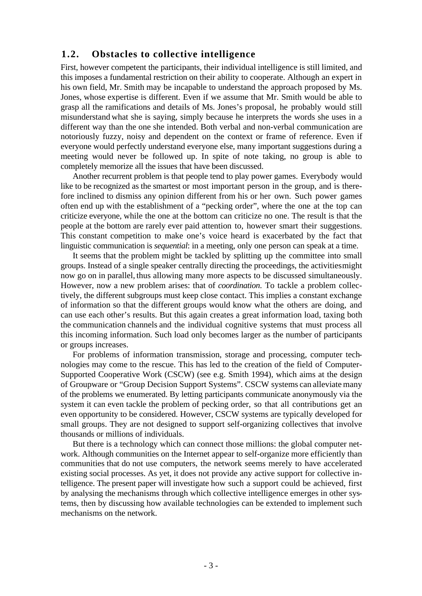# **1.2. Obstacles to collective intelligence**

First, however competent the participants, their individual intelligence is still limited, and this imposes a fundamental restriction on their ability to cooperate. Although an expert in his own field, Mr. Smith may be incapable to understand the approach proposed by Ms. Jones, whose expertise is different. Even if we assume that Mr. Smith would be able to grasp all the ramifications and details of Ms. Jones's proposal, he probably would still misunderstand what she is saying, simply because he interprets the words she uses in a different way than the one she intended. Both verbal and non-verbal communication are notoriously fuzzy, noisy and dependent on the context or frame of reference. Even if everyone would perfectly understand everyone else, many important suggestions during a meeting would never be followed up. In spite of note taking, no group is able to completely memorize all the issues that have been discussed.

Another recurrent problem is that people tend to play power games. Everybody would like to be recognized as the smartest or most important person in the group, and is therefore inclined to dismiss any opinion different from his or her own. Such power games often end up with the establishment of a "pecking order", where the one at the top can criticize everyone, while the one at the bottom can criticize no one. The result is that the people at the bottom are rarely ever paid attention to, however smart their suggestions. This constant competition to make one's voice heard is exacerbated by the fact that linguistic communication is *sequential*: in a meeting, only one person can speak at a time.

It seems that the problem might be tackled by splitting up the committee into small groups. Instead of a single speaker centrally directing the proceedings, the activities might now go on in parallel, thus allowing many more aspects to be discussed simultaneously. However, now a new problem arises: that of *coordination*. To tackle a problem collectively, the different subgroups must keep close contact. This implies a constant exchange of information so that the different groups would know what the others are doing, and can use each other's results. But this again creates a great information load, taxing both the communication channels and the individual cognitive systems that must process all this incoming information. Such load only becomes larger as the number of participants or groups increases.

For problems of information transmission, storage and processing, computer technologies may come to the rescue. This has led to the creation of the field of Computer-Supported Cooperative Work (CSCW) (see e.g. Smith 1994), which aims at the design of Groupware or "Group Decision Support Systems". CSCW systems can alleviate many of the problems we enumerated. By letting participants communicate anonymously via the system it can even tackle the problem of pecking order, so that all contributions get an even opportunity to be considered. However, CSCW systems are typically developed for small groups. They are not designed to support self-organizing collectives that involve thousands or millions of individuals.

But there is a technology which can connect those millions: the global computer network. Although communities on the Internet appear to self-organize more efficiently than communities that do not use computers, the network seems merely to have accelerated existing social processes. As yet, it does not provide any active support for collective intelligence. The present paper will investigate how such a support could be achieved, first by analysing the mechanisms through which collective intelligence emerges in other systems, then by discussing how available technologies can be extended to implement such mechanisms on the network.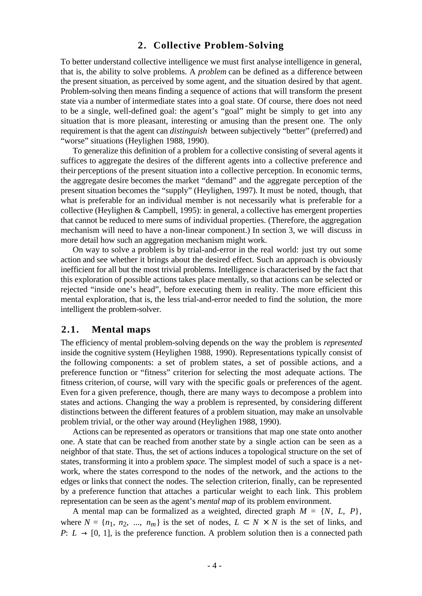### **2. Collective Problem-Solving**

To better understand collective intelligence we must first analyse intelligence in general, that is, the ability to solve problems. A *problem* can be defined as a difference between the present situation, as perceived by some agent, and the situation desired by that agent. Problem-solving then means finding a sequence of actions that will transform the present state via a number of intermediate states into a goal state. Of course, there does not need to be a single, well-defined goal: the agent's "goal" might be simply to get into any situation that is more pleasant, interesting or amusing than the present one. The only requirement is that the agent can *distinguish* between subjectively "better" (preferred) and "worse" situations (Heylighen 1988, 1990).

To generalize this definition of a problem for a collective consisting of several agents it suffices to aggregate the desires of the different agents into a collective preference and their perceptions of the present situation into a collective perception. In economic terms, the aggregate desire becomes the market "demand" and the aggregate perception of the present situation becomes the "supply" (Heylighen, 1997). It must be noted, though, that what is preferable for an individual member is not necessarily what is preferable for a collective (Heylighen & Campbell, 1995): in general, a collective has emergent properties that cannot be reduced to mere sums of individual properties. (Therefore, the aggregation mechanism will need to have a non-linear component.) In section 3, we will discuss in more detail how such an aggregation mechanism might work.

On way to solve a problem is by trial-and-error in the real world: just try out some action and see whether it brings about the desired effect. Such an approach is obviously inefficient for all but the most trivial problems. Intelligence is characterised by the fact that this exploration of possible actions takes place mentally, so that actions can be selected or rejected "inside one's head", before executing them in reality. The more efficient this mental exploration, that is, the less trial-and-error needed to find the solution, the more intelligent the problem-solver.

#### **2.1. Mental maps**

The efficiency of mental problem-solving depends on the way the problem is *represented* inside the cognitive system (Heylighen 1988, 1990). Representations typically consist of the following components: a set of problem states, a set of possible actions, and a preference function or "fitness" criterion for selecting the most adequate actions. The fitness criterion, of course, will vary with the specific goals or preferences of the agent. Even for a given preference, though, there are many ways to decompose a problem into states and actions. Changing the way a problem is represented, by considering different distinctions between the different features of a problem situation, may make an unsolvable problem trivial, or the other way around (Heylighen 1988, 1990).

Actions can be represented as operators or transitions that map one state onto another one. A state that can be reached from another state by a single action can be seen as a neighbor of that state. Thus, the set of actions induces a topological structure on the set of states, transforming it into a problem *space*. The simplest model of such a space is a network, where the states correspond to the nodes of the network, and the actions to the edges or links that connect the nodes. The selection criterion, finally, can be represented by a preference function that attaches a particular weight to each link. This problem representation can be seen as the agent's *mental map* of its problem environment.

A mental map can be formalized as a weighted, directed graph  $M = \{N, L, P\}$ , where  $N = \{n_1, n_2, ..., n_m\}$  is the set of nodes,  $L \leq N \times N$  is the set of links, and *P*: *L* [0, 1], is the preference function. A problem solution then is a connected path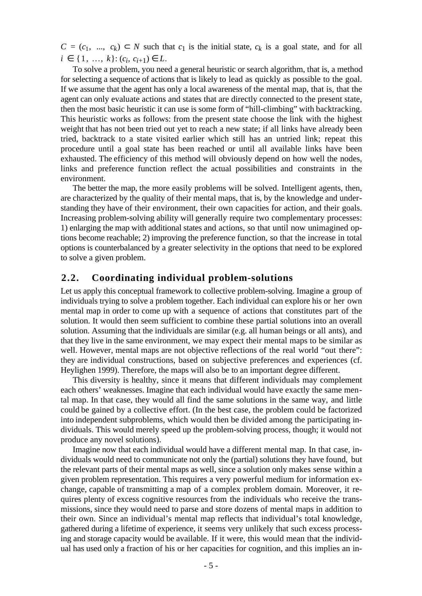$C = (c_1, ..., c_k)$  *N* such that  $c_1$  is the initial state,  $c_k$  is a goal state, and for all  $i \{1, \ldots, k\}$ :  $(c_i, c_{i+1}) \in L$ .

To solve a problem, you need a general heuristic or search algorithm, that is, a method for selecting a sequence of actions that is likely to lead as quickly as possible to the goal. If we assume that the agent has only a local awareness of the mental map, that is, that the agent can only evaluate actions and states that are directly connected to the present state, then the most basic heuristic it can use is some form of "hill-climbing" with backtracking. This heuristic works as follows: from the present state choose the link with the highest weight that has not been tried out yet to reach a new state; if all links have already been tried, backtrack to a state visited earlier which still has an untried link; repeat this procedure until a goal state has been reached or until all available links have been exhausted. The efficiency of this method will obviously depend on how well the nodes, links and preference function reflect the actual possibilities and constraints in the environment.

The better the map, the more easily problems will be solved. Intelligent agents, then, are characterized by the quality of their mental maps, that is, by the knowledge and understanding they have of their environment, their own capacities for action, and their goals. Increasing problem-solving ability will generally require two complementary processes: 1) enlarging the map with additional states and actions, so that until now unimagined options become reachable; 2) improving the preference function, so that the increase in total options is counterbalanced by a greater selectivity in the options that need to be explored to solve a given problem.

#### **2.2. Coordinating individual problem-solutions**

Let us apply this conceptual framework to collective problem-solving. Imagine a group of individuals trying to solve a problem together. Each individual can explore his or her own mental map in order to come up with a sequence of actions that constitutes part of the solution. It would then seem sufficient to combine these partial solutions into an overall solution. Assuming that the individuals are similar (e.g. all human beings or all ants), and that they live in the same environment, we may expect their mental maps to be similar as well. However, mental maps are not objective reflections of the real world "out there": they are individual constructions, based on subjective preferences and experiences (cf. Heylighen 1999). Therefore, the maps will also be to an important degree different.

This diversity is healthy, since it means that different individuals may complement each others' weaknesses. Imagine that each individual would have exactly the same mental map. In that case, they would all find the same solutions in the same way, and little could be gained by a collective effort. (In the best case, the problem could be factorized into independent subproblems, which would then be divided among the participating individuals. This would merely speed up the problem-solving process, though; it would not produce any novel solutions).

Imagine now that each individual would have a different mental map. In that case, individuals would need to communicate not only the (partial) solutions they have found, but the relevant parts of their mental maps as well, since a solution only makes sense within a given problem representation. This requires a very powerful medium for information exchange, capable of transmitting a map of a complex problem domain. Moreover, it requires plenty of excess cognitive resources from the individuals who receive the transmissions, since they would need to parse and store dozens of mental maps in addition to their own. Since an individual's mental map reflects that individual's total knowledge, gathered during a lifetime of experience, it seems very unlikely that such excess processing and storage capacity would be available. If it were, this would mean that the individual has used only a fraction of his or her capacities for cognition, and this implies an in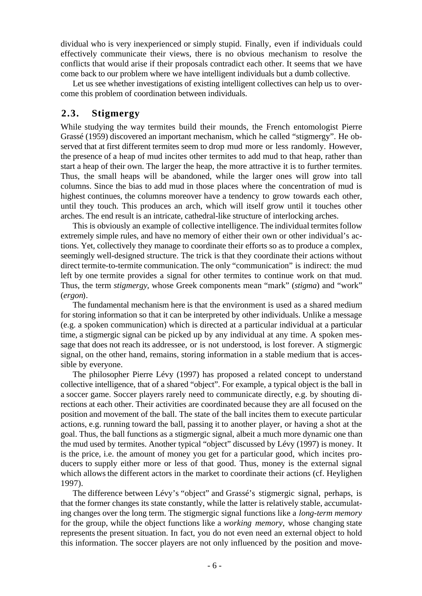dividual who is very inexperienced or simply stupid. Finally, even if individuals could effectively communicate their views, there is no obvious mechanism to resolve the conflicts that would arise if their proposals contradict each other. It seems that we have come back to our problem where we have intelligent individuals but a dumb collective.

Let us see whether investigations of existing intelligent collectives can help us to overcome this problem of coordination between individuals.

# **2.3. Stigmergy**

While studying the way termites build their mounds, the French entomologist Pierre Grassé (1959) discovered an important mechanism, which he called "stigmergy". He observed that at first different termites seem to drop mud more or less randomly. However, the presence of a heap of mud incites other termites to add mud to that heap, rather than start a heap of their own. The larger the heap, the more attractive it is to further termites. Thus, the small heaps will be abandoned, while the larger ones will grow into tall columns. Since the bias to add mud in those places where the concentration of mud is highest continues, the columns moreover have a tendency to grow towards each other, until they touch. This produces an arch, which will itself grow until it touches other arches. The end result is an intricate, cathedral-like structure of interlocking arches.

This is obviously an example of collective intelligence. The individual termites follow extremely simple rules, and have no memory of either their own or other individual's actions. Yet, collectively they manage to coordinate their efforts so as to produce a complex, seemingly well-designed structure. The trick is that they coordinate their actions without direct termite-to-termite communication. The only "communication" is indirect: the mud left by one termite provides a signal for other termites to continue work on that mud. Thus, the term *stigmergy*, whose Greek components mean "mark" (*stigma*) and "work" (*ergon*).

The fundamental mechanism here is that the environment is used as a shared medium for storing information so that it can be interpreted by other individuals. Unlike a message (e.g. a spoken communication) which is directed at a particular individual at a particular time, a stigmergic signal can be picked up by any individual at any time. A spoken message that does not reach its addressee, or is not understood, is lost forever. A stigmergic signal, on the other hand, remains, storing information in a stable medium that is accessible by everyone.

The philosopher Pierre Lévy (1997) has proposed a related concept to understand collective intelligence, that of a shared "object". For example, a typical object is the ball in a soccer game. Soccer players rarely need to communicate directly, e.g. by shouting directions at each other. Their activities are coordinated because they are all focused on the position and movement of the ball. The state of the ball incites them to execute particular actions, e.g. running toward the ball, passing it to another player, or having a shot at the goal. Thus, the ball functions as a stigmergic signal, albeit a much more dynamic one than the mud used by termites. Another typical "object" discussed by Lévy (1997) is money. It is the price, i.e. the amount of money you get for a particular good, which incites producers to supply either more or less of that good. Thus, money is the external signal which allows the different actors in the market to coordinate their actions (cf. Heylighen 1997).

The difference between Lévy's "object" and Grassé's stigmergic signal, perhaps, is that the former changes its state constantly, while the latter is relatively stable, accumulating changes over the long term. The stigmergic signal functions like a *long-term memory* for the group, while the object functions like a *working memory*, whose changing state represents the present situation. In fact, you do not even need an external object to hold this information. The soccer players are not only influenced by the position and move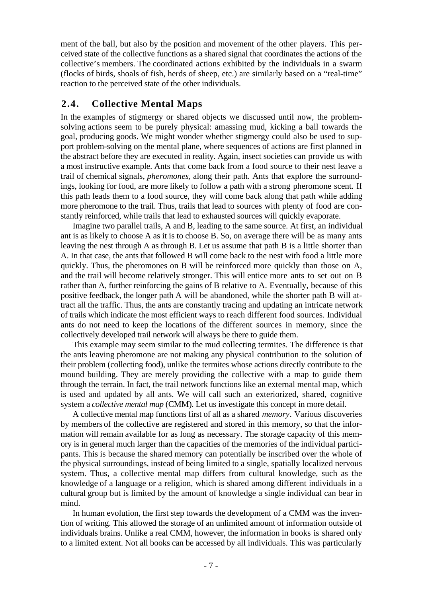ment of the ball, but also by the position and movement of the other players. This perceived state of the collective functions as a shared signal that coordinates the actions of the collective's members. The coordinated actions exhibited by the individuals in a swarm (flocks of birds, shoals of fish, herds of sheep, etc.) are similarly based on a "real-time" reaction to the perceived state of the other individuals.

## **2.4. Collective Mental Maps**

In the examples of stigmergy or shared objects we discussed until now, the problemsolving actions seem to be purely physical: amassing mud, kicking a ball towards the goal, producing goods. We might wonder whether stigmergy could also be used to support problem-solving on the mental plane, where sequences of actions are first planned in the abstract before they are executed in reality. Again, insect societies can provide us with a most instructive example. Ants that come back from a food source to their nest leave a trail of chemical signals, *pheromones*, along their path. Ants that explore the surroundings, looking for food, are more likely to follow a path with a strong pheromone scent. If this path leads them to a food source, they will come back along that path while adding more pheromone to the trail. Thus, trails that lead to sources with plenty of food are constantly reinforced, while trails that lead to exhausted sources will quickly evaporate.

Imagine two parallel trails, A and B, leading to the same source. At first, an individual ant is as likely to choose A as it is to choose B. So, on average there will be as many ants leaving the nest through A as through B. Let us assume that path B is a little shorter than A. In that case, the ants that followed B will come back to the nest with food a little more quickly. Thus, the pheromones on B will be reinforced more quickly than those on A, and the trail will become relatively stronger. This will entice more ants to set out on B rather than A, further reinforcing the gains of B relative to A. Eventually, because of this positive feedback, the longer path A will be abandoned, while the shorter path B will attract all the traffic. Thus, the ants are constantly tracing and updating an intricate network of trails which indicate the most efficient ways to reach different food sources. Individual ants do not need to keep the locations of the different sources in memory, since the collectively developed trail network will always be there to guide them.

This example may seem similar to the mud collecting termites. The difference is that the ants leaving pheromone are not making any physical contribution to the solution of their problem (collecting food), unlike the termites whose actions directly contribute to the mound building. They are merely providing the collective with a map to guide them through the terrain. In fact, the trail network functions like an external mental map, which is used and updated by all ants. We will call such an exteriorized, shared, cognitive system a *collective mental map* (CMM). Let us investigate this concept in more detail.

A collective mental map functions first of all as a shared *memory*. Various discoveries by members of the collective are registered and stored in this memory, so that the information will remain available for as long as necessary. The storage capacity of this memory is in general much larger than the capacities of the memories of the individual participants. This is because the shared memory can potentially be inscribed over the whole of the physical surroundings, instead of being limited to a single, spatially localized nervous system. Thus, a collective mental map differs from cultural knowledge, such as the knowledge of a language or a religion, which is shared among different individuals in a cultural group but is limited by the amount of knowledge a single individual can bear in mind.

In human evolution, the first step towards the development of a CMM was the invention of writing. This allowed the storage of an unlimited amount of information outside of individuals brains. Unlike a real CMM, however, the information in books is shared only to a limited extent. Not all books can be accessed by all individuals. This was particularly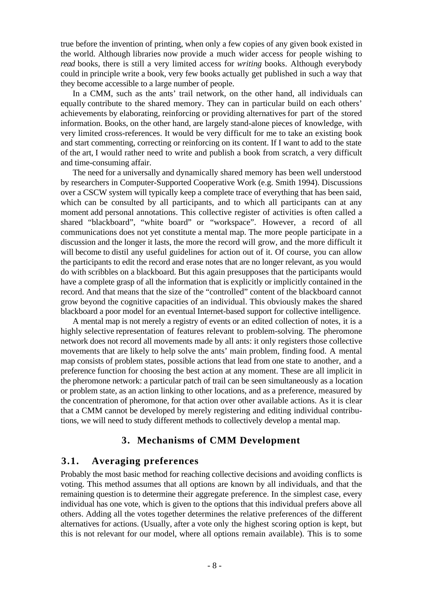true before the invention of printing, when only a few copies of any given book existed in the world. Although libraries now provide a much wider access for people wishing to *read* books, there is still a very limited access for *writing* books. Although everybody could in principle write a book, very few books actually get published in such a way that they become accessible to a large number of people.

In a CMM, such as the ants' trail network, on the other hand, all individuals can equally contribute to the shared memory. They can in particular build on each others' achievements by elaborating, reinforcing or providing alternatives for part of the stored information. Books, on the other hand, are largely stand-alone pieces of knowledge, with very limited cross-references. It would be very difficult for me to take an existing book and start commenting, correcting or reinforcing on its content. If I want to add to the state of the art, I would rather need to write and publish a book from scratch, a very difficult and time-consuming affair.

The need for a universally and dynamically shared memory has been well understood by researchers in Computer-Supported Cooperative Work (e.g. Smith 1994). Discussions over a CSCW system will typically keep a complete trace of everything that has been said, which can be consulted by all participants, and to which all participants can at any moment add personal annotations. This collective register of activities is often called a shared "blackboard", "white board" or "workspace". However, a record of all communications does not yet constitute a mental map. The more people participate in a discussion and the longer it lasts, the more the record will grow, and the more difficult it will become to distil any useful guidelines for action out of it. Of course, you can allow the participants to edit the record and erase notes that are no longer relevant, as you would do with scribbles on a blackboard. But this again presupposes that the participants would have a complete grasp of all the information that is explicitly or implicitly contained in the record. And that means that the size of the "controlled" content of the blackboard cannot grow beyond the cognitive capacities of an individual. This obviously makes the shared blackboard a poor model for an eventual Internet-based support for collective intelligence.

A mental map is not merely a registry of events or an edited collection of notes, it is a highly selective representation of features relevant to problem-solving. The pheromone network does not record all movements made by all ants: it only registers those collective movements that are likely to help solve the ants' main problem, finding food. A mental map consists of problem states, possible actions that lead from one state to another, and a preference function for choosing the best action at any moment. These are all implicit in the pheromone network: a particular patch of trail can be seen simultaneously as a location or problem state, as an action linking to other locations, and as a preference, measured by the concentration of pheromone, for that action over other available actions. As it is clear that a CMM cannot be developed by merely registering and editing individual contributions, we will need to study different methods to collectively develop a mental map.

# **3. Mechanisms of CMM Development**

# **3.1. Averaging preferences**

Probably the most basic method for reaching collective decisions and avoiding conflicts is voting. This method assumes that all options are known by all individuals, and that the remaining question is to determine their aggregate preference. In the simplest case, every individual has one vote, which is given to the options that this individual prefers above all others. Adding all the votes together determines the relative preferences of the different alternatives for actions. (Usually, after a vote only the highest scoring option is kept, but this is not relevant for our model, where all options remain available). This is to some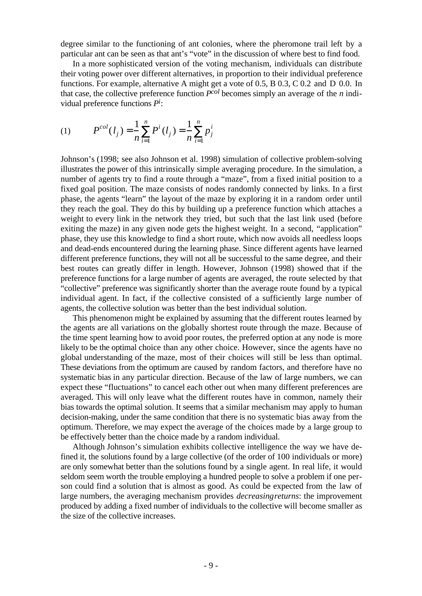degree similar to the functioning of ant colonies, where the pheromone trail left by a particular ant can be seen as that ant's "vote" in the discussion of where best to find food.

In a more sophisticated version of the voting mechanism, individuals can distribute their voting power over different alternatives, in proportion to their individual preference functions. For example, alternative A might get a vote of 0.5, B 0.3, C 0.2 and D 0.0. In that case, the collective preference function *Pcol* becomes simply an average of the *n* individual preference functions *Pi* :

(1) 
$$
P^{col}(l_j) = \frac{1}{n} \sum_{i=1}^{n} P^{i}(l_j) = \frac{1}{n} \sum_{i=1}^{n} p^{i}_{j}
$$

Johnson's (1998; see also Johnson et al. 1998) simulation of collective problem-solving illustrates the power of this intrinsically simple averaging procedure. In the simulation, a number of agents try to find a route through a "maze", from a fixed initial position to a fixed goal position. The maze consists of nodes randomly connected by links. In a first phase, the agents "learn" the layout of the maze by exploring it in a random order until they reach the goal. They do this by building up a preference function which attaches a weight to every link in the network they tried, but such that the last link used (before exiting the maze) in any given node gets the highest weight. In a second, "application" phase, they use this knowledge to find a short route, which now avoids all needless loops and dead-ends encountered during the learning phase. Since different agents have learned different preference functions, they will not all be successful to the same degree, and their best routes can greatly differ in length. However, Johnson (1998) showed that if the preference functions for a large number of agents are averaged, the route selected by that "collective" preference was significantly shorter than the average route found by a typical individual agent. In fact, if the collective consisted of a sufficiently large number of agents, the collective solution was better than the best individual solution.

This phenomenon might be explained by assuming that the different routes learned by the agents are all variations on the globally shortest route through the maze. Because of the time spent learning how to avoid poor routes, the preferred option at any node is more likely to be the optimal choice than any other choice. However, since the agents have no global understanding of the maze, most of their choices will still be less than optimal. These deviations from the optimum are caused by random factors, and therefore have no systematic bias in any particular direction. Because of the law of large numbers, we can expect these "fluctuations" to cancel each other out when many different preferences are averaged. This will only leave what the different routes have in common, namely their bias towards the optimal solution. It seems that a similar mechanism may apply to human decision-making, under the same condition that there is no systematic bias away from the optimum. Therefore, we may expect the average of the choices made by a large group to be effectively better than the choice made by a random individual.

Although Johnson's simulation exhibits collective intelligence the way we have defined it, the solutions found by a large collective (of the order of 100 individuals or more) are only somewhat better than the solutions found by a single agent. In real life, it would seldom seem worth the trouble employing a hundred people to solve a problem if one person could find a solution that is almost as good. As could be expected from the law of large numbers, the averaging mechanism provides *decreasing returns*: the improvement produced by adding a fixed number of individuals to the collective will become smaller as the size of the collective increases.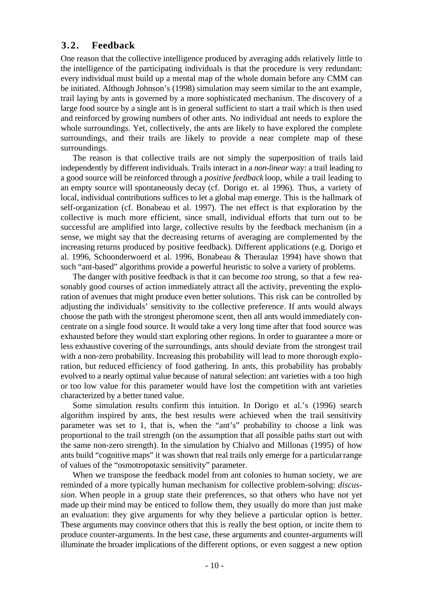### **3.2. Feedback**

One reason that the collective intelligence produced by averaging adds relatively little to the intelligence of the participating individuals is that the procedure is very redundant: every individual must build up a mental map of the whole domain before any CMM can be initiated. Although Johnson's (1998) simulation may seem similar to the ant example, trail laying by ants is governed by a more sophisticated mechanism. The discovery of a large food source by a single ant is in general sufficient to start a trail which is then used and reinforced by growing numbers of other ants. No individual ant needs to explore the whole surroundings. Yet, collectively, the ants are likely to have explored the complete surroundings, and their trails are likely to provide a near complete map of these surroundings.

The reason is that collective trails are not simply the superposition of trails laid independently by different individuals. Trails interact in a *non-linear* way: a trail leading to a good source will be reinforced through a *positive feedback* loop, while a trail leading to an empty source will spontaneously decay (cf. Dorigo et. al 1996). Thus, a variety of local, individual contributions suffices to let a global map emerge. This is the hallmark of self-organization (cf. Bonabeau et al. 1997). The net effect is that exploration by the collective is much more efficient, since small, individual efforts that turn out to be successful are amplified into large, collective results by the feedback mechanism (in a sense, we might say that the decreasing returns of averaging are complemented by the increasing returns produced by positive feedback). Different applications (e.g. Dorigo et al. 1996, Schoonderwoerd et al. 1996, Bonabeau & Theraulaz 1994) have shown that such "ant-based" algorithms provide a powerful heuristic to solve a variety of problems.

The danger with positive feedback is that it can become *too* strong, so that a few reasonably good courses of action immediately attract all the activity, preventing the exploration of avenues that might produce even better solutions. This risk can be controlled by adjusting the individuals' sensitivity to the collective preference. If ants would always choose the path with the strongest pheromone scent, then all ants would immediately concentrate on a single food source. It would take a very long time after that food source was exhausted before they would start exploring other regions. In order to guarantee a more or less exhaustive covering of the surroundings, ants should deviate from the strongest trail with a non-zero probability. Increasing this probability will lead to more thorough exploration, but reduced efficiency of food gathering. In ants, this probability has probably evolved to a nearly optimal value because of natural selection: ant varieties with a too high or too low value for this parameter would have lost the competition with ant varieties characterized by a better tuned value.

Some simulation results confirm this intuition. In Dorigo et al.'s (1996) search algorithm inspired by ants, the best results were achieved when the trail sensitivity parameter was set to 1, that is, when the "ant's" probability to choose a link was proportional to the trail strength (on the assumption that all possible paths start out with the same non-zero strength). In the simulation by Chialvo and Millonas (1995) of how ants build "cognitive maps" it was shown that real trails only emerge for a particular range of values of the "osmotropotaxic sensitivity" parameter.

When we transpose the feedback model from ant colonies to human society, we are reminded of a more typically human mechanism for collective problem-solving: *discussion*. When people in a group state their preferences, so that others who have not yet made up their mind may be enticed to follow them, they usually do more than just make an evaluation: they give arguments for why they believe a particular option is better. These arguments may convince others that this is really the best option, or incite them to produce counter-arguments. In the best case, these arguments and counter-arguments will illuminate the broader implications of the different options, or even suggest a new option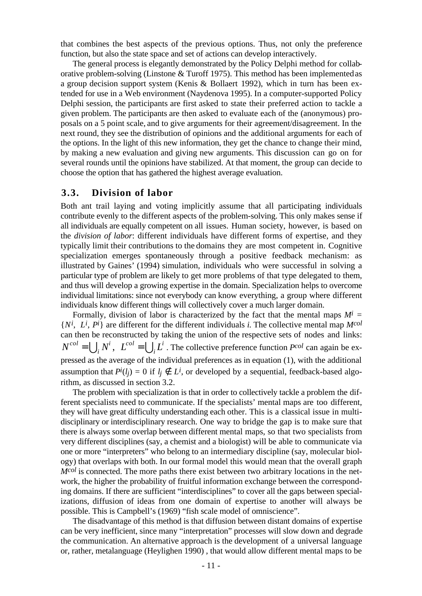that combines the best aspects of the previous options. Thus, not only the preference function, but also the state space and set of actions can develop interactively.

The general process is elegantly demonstrated by the Policy Delphi method for collaborative problem-solving (Linstone & Turoff 1975). This method has been implemented as a group decision support system (Kenis & Bollaert 1992), which in turn has been extended for use in a Web environment (Naydenova 1995). In a computer-supported Policy Delphi session, the participants are first asked to state their preferred action to tackle a given problem. The participants are then asked to evaluate each of the (anonymous) proposals on a 5 point scale, and to give arguments for their agreement/disagreement. In the next round, they see the distribution of opinions and the additional arguments for each of the options. In the light of this new information, they get the chance to change their mind, by making a new evaluation and giving new arguments. This discussion can go on for several rounds until the opinions have stabilized. At that moment, the group can decide to choose the option that has gathered the highest average evaluation.

#### **3.3. Division of labor**

Both ant trail laying and voting implicitly assume that all participating individuals contribute evenly to the different aspects of the problem-solving. This only makes sense if all individuals are equally competent on all issues. Human society, however, is based on the *division of labor*: different individuals have different forms of expertise, and they typically limit their contributions to the domains they are most competent in. Cognitive specialization emerges spontaneously through a positive feedback mechanism: as illustrated by Gaines' (1994) simulation, individuals who were successful in solving a particular type of problem are likely to get more problems of that type delegated to them, and thus will develop a growing expertise in the domain. Specialization helps to overcome individual limitations: since not everybody can know everything, a group where different individuals know different things will collectively cover a much larger domain.

Formally, division of labor is characterized by the fact that the mental maps  $M^i$  = {*Ni* , *Li* , *Pi*} are different for the different individuals *i*. The collective mental map *Mcol* can then be reconstructed by taking the union of the respective sets of nodes and links:  $\overline{a}$  $N^{col} = \bigcup_i N^i$ ,  $L^{col} = \bigcup_i L^i$ . The collective preference function *Pcol* can again be expressed as the average of the individual preferences as in equation (1), with the additional assumption that  $P^i(l_j) = 0$  if  $l_j \sim L^i$ , or developed by a sequential, feedback-based algorithm, as discussed in section 3.2.

The problem with specialization is that in order to collectively tackle a problem the different specialists need to communicate. If the specialists' mental maps are too different, they will have great difficulty understanding each other. This is a classical issue in multidisciplinary or interdisciplinary research. One way to bridge the gap is to make sure that there is always some overlap between different mental maps, so that two specialists from very different disciplines (say, a chemist and a biologist) will be able to communicate via one or more "interpreters" who belong to an intermediary discipline (say, molecular biology) that overlaps with both. In our formal model this would mean that the overall graph *Mcol* is connected. The more paths there exist between two arbitrary locations in the network, the higher the probability of fruitful information exchange between the corresponding domains. If there are sufficient "interdisciplines" to cover all the gaps between specializations, diffusion of ideas from one domain of expertise to another will always be possible. This is Campbell's (1969) "fish scale model of omniscience".

The disadvantage of this method is that diffusion between distant domains of expertise can be very inefficient, since many "interpretation" processes will slow down and degrade the communication. An alternative approach is the development of a universal language or, rather, metalanguage (Heylighen 1990) , that would allow different mental maps to be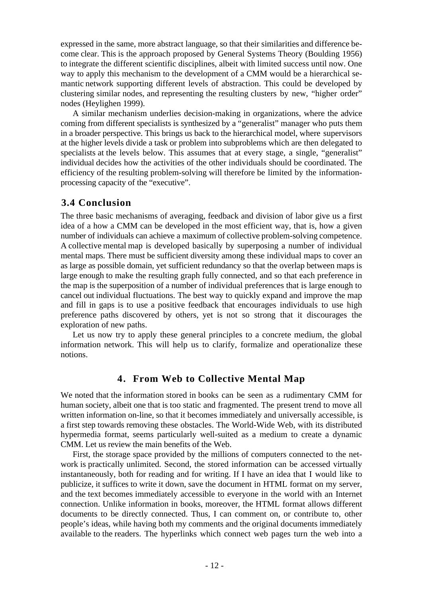expressed in the same, more abstract language, so that their similarities and difference become clear. This is the approach proposed by General Systems Theory (Boulding 1956) to integrate the different scientific disciplines, albeit with limited success until now. One way to apply this mechanism to the development of a CMM would be a hierarchical semantic network supporting different levels of abstraction. This could be developed by clustering similar nodes, and representing the resulting clusters by new, "higher order" nodes (Heylighen 1999).

A similar mechanism underlies decision-making in organizations, where the advice coming from different specialists is synthesized by a "generalist" manager who puts them in a broader perspective. This brings us back to the hierarchical model, where supervisors at the higher levels divide a task or problem into subproblems which are then delegated to specialists at the levels below. This assumes that at every stage, a single, "generalist" individual decides how the activities of the other individuals should be coordinated. The efficiency of the resulting problem-solving will therefore be limited by the informationprocessing capacity of the "executive".

# **3.4 Conclusion**

The three basic mechanisms of averaging, feedback and division of labor give us a first idea of a how a CMM can be developed in the most efficient way, that is, how a given number of individuals can achieve a maximum of collective problem-solving competence. A collective mental map is developed basically by superposing a number of individual mental maps. There must be sufficient diversity among these individual maps to cover an as large as possible domain, yet sufficient redundancy so that the overlap between maps is large enough to make the resulting graph fully connected, and so that each preference in the map is the superposition of a number of individual preferences that is large enough to cancel out individual fluctuations. The best way to quickly expand and improve the map and fill in gaps is to use a positive feedback that encourages individuals to use high preference paths discovered by others, yet is not so strong that it discourages the exploration of new paths.

Let us now try to apply these general principles to a concrete medium, the global information network. This will help us to clarify, formalize and operationalize these notions.

# **4. From Web to Collective Mental Map**

We noted that the information stored in books can be seen as a rudimentary CMM for human society, albeit one that is too static and fragmented. The present trend to move all written information on-line, so that it becomes immediately and universally accessible, is a first step towards removing these obstacles. The World-Wide Web, with its distributed hypermedia format, seems particularly well-suited as a medium to create a dynamic CMM. Let us review the main benefits of the Web.

First, the storage space provided by the millions of computers connected to the network is practically unlimited. Second, the stored information can be accessed virtually instantaneously, both for reading and for writing. If I have an idea that I would like to publicize, it suffices to write it down, save the document in HTML format on my server, and the text becomes immediately accessible to everyone in the world with an Internet connection. Unlike information in books, moreover, the HTML format allows different documents to be directly connected. Thus, I can comment on, or contribute to, other people's ideas, while having both my comments and the original documents immediately available to the readers. The hyperlinks which connect web pages turn the web into a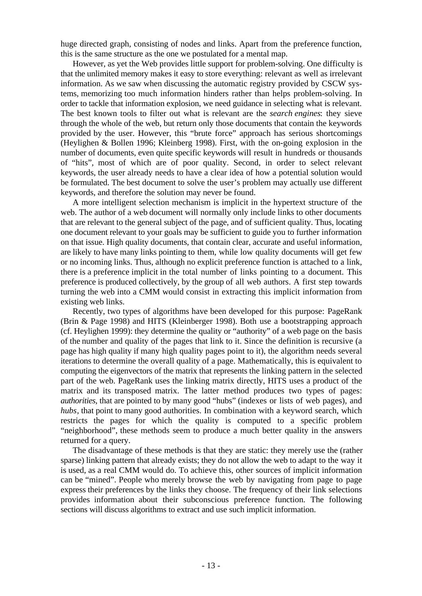huge directed graph, consisting of nodes and links. Apart from the preference function, this is the same structure as the one we postulated for a mental map.

However, as yet the Web provides little support for problem-solving. One difficulty is that the unlimited memory makes it easy to store everything: relevant as well as irrelevant information. As we saw when discussing the automatic registry provided by CSCW systems, memorizing too much information hinders rather than helps problem-solving. In order to tackle that information explosion, we need guidance in selecting what is relevant. The best known tools to filter out what is relevant are the *search engines*: they sieve through the whole of the web, but return only those documents that contain the keywords provided by the user. However, this "brute force" approach has serious shortcomings (Heylighen & Bollen 1996; Kleinberg 1998). First, with the on-going explosion in the number of documents, even quite specific keywords will result in hundreds or thousands of "hits", most of which are of poor quality. Second, in order to select relevant keywords, the user already needs to have a clear idea of how a potential solution would be formulated. The best document to solve the user's problem may actually use different keywords, and therefore the solution may never be found.

A more intelligent selection mechanism is implicit in the hypertext structure of the web. The author of a web document will normally only include links to other documents that are relevant to the general subject of the page, and of sufficient quality. Thus, locating one document relevant to your goals may be sufficient to guide you to further information on that issue. High quality documents, that contain clear, accurate and useful information, are likely to have many links pointing to them, while low quality documents will get few or no incoming links. Thus, although no explicit preference function is attached to a link, there is a preference implicit in the total number of links pointing to a document. This preference is produced collectively, by the group of all web authors. A first step towards turning the web into a CMM would consist in extracting this implicit information from existing web links.

Recently, two types of algorithms have been developed for this purpose: PageRank (Brin & Page 1998) and HITS (Kleinberger 1998). Both use a bootstrapping approach (cf. Heylighen 1999): they determine the quality or "authority" of a web page on the basis of the number and quality of the pages that link to it. Since the definition is recursive (a page has high quality if many high quality pages point to it), the algorithm needs several iterations to determine the overall quality of a page. Mathematically, this is equivalent to computing the eigenvectors of the matrix that represents the linking pattern in the selected part of the web. PageRank uses the linking matrix directly, HITS uses a product of the matrix and its transposed matrix. The latter method produces two types of pages: *authorities*, that are pointed to by many good "hubs" (indexes or lists of web pages), and *hubs*, that point to many good authorities. In combination with a keyword search, which restricts the pages for which the quality is computed to a specific problem "neighborhood", these methods seem to produce a much better quality in the answers returned for a query.

The disadvantage of these methods is that they are static: they merely use the (rather sparse) linking pattern that already exists; they do not allow the web to adapt to the way it is used, as a real CMM would do. To achieve this, other sources of implicit information can be "mined". People who merely browse the web by navigating from page to page express their preferences by the links they choose. The frequency of their link selections provides information about their subconscious preference function. The following sections will discuss algorithms to extract and use such implicit information.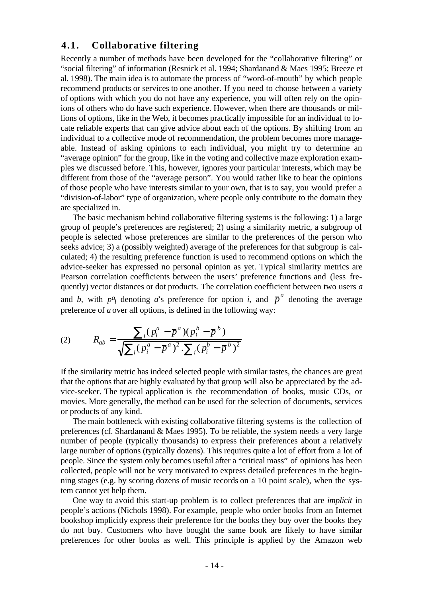#### **4.1. Collaborative filtering**

Recently a number of methods have been developed for the "collaborative filtering" or "social filtering" of information (Resnick et al. 1994; Shardanand & Maes 1995; Breeze et al. 1998). The main idea is to automate the process of "word-of-mouth" by which people recommend products or services to one another. If you need to choose between a variety of options with which you do not have any experience, you will often rely on the opinions of others who do have such experience. However, when there are thousands or millions of options, like in the Web, it becomes practically impossible for an individual to locate reliable experts that can give advice about each of the options. By shifting from an individual to a collective mode of recommendation, the problem becomes more manageable. Instead of asking opinions to each individual, you might try to determine an "average opinion" for the group, like in the voting and collective maze exploration examples we discussed before. This, however, ignores your particular interests, which may be different from those of the "average person". You would rather like to hear the opinions of those people who have interests similar to your own, that is to say, you would prefer a "division-of-labor" type of organization, where people only contribute to the domain they are specialized in.

The basic mechanism behind collaborative filtering systems is the following: 1) a large group of people's preferences are registered; 2) using a similarity metric, a subgroup of people is selected whose preferences are similar to the preferences of the person who seeks advice; 3) a (possibly weighted) average of the preferences for that subgroup is calculated; 4) the resulting preference function is used to recommend options on which the advice-seeker has expressed no personal opinion as yet. Typical similarity metrics are Pearson correlation coefficients between the users' preference functions and (less frequently) vector distances or dot products. The correlation coefficient between two users *a* and *b*, with  $p^a_i$  denoting *a*'s preference for option *i*, and  $\overline{p}^a$  denoting the average preference of *a* over all options, is defined in the following way:

(2) 
$$
R_{ab} = \frac{i(p_i^a - \bar{p}^a)(p_i^b - \bar{p}^b)}{\sqrt{i(p_i^a - \bar{p}^a)^2 + (p_i^b - \bar{p}^b)^2}}
$$

If the similarity metric has indeed selected people with similar tastes, the chances are great that the options that are highly evaluated by that group will also be appreciated by the advice-seeker. The typical application is the recommendation of books, music CDs, or movies. More generally, the method can be used for the selection of documents, services or products of any kind.

The main bottleneck with existing collaborative filtering systems is the collection of preferences (cf. Shardanand & Maes 1995). To be reliable, the system needs a very large number of people (typically thousands) to express their preferences about a relatively large number of options (typically dozens). This requires quite a lot of effort from a lot of people. Since the system only becomes useful after a "critical mass" of opinions has been collected, people will not be very motivated to express detailed preferences in the beginning stages (e.g. by scoring dozens of music records on a 10 point scale), when the system cannot yet help them.

One way to avoid this start-up problem is to collect preferences that are *implicit* in people's actions (Nichols 1998). For example, people who order books from an Internet bookshop implicitly express their preference for the books they buy over the books they do not buy. Customers who have bought the same book are likely to have similar preferences for other books as well. This principle is applied by the Amazon web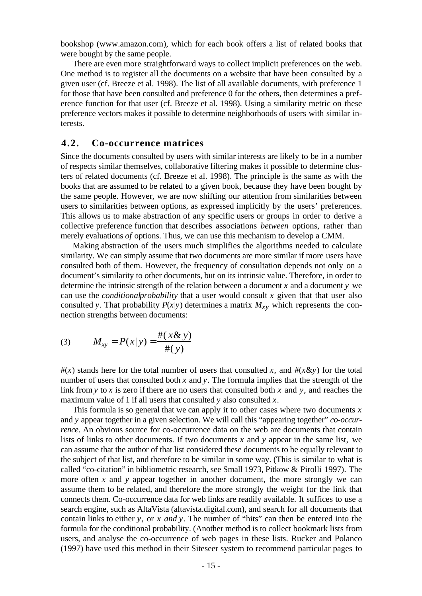bookshop (www.amazon.com), which for each book offers a list of related books that were bought by the same people.

There are even more straightforward ways to collect implicit preferences on the web. One method is to register all the documents on a website that have been consulted by a given user (cf. Breeze et al. 1998). The list of all available documents, with preference 1 for those that have been consulted and preference 0 for the others, then determines a preference function for that user (cf. Breeze et al. 1998). Using a similarity metric on these preference vectors makes it possible to determine neighborhoods of users with similar interests.

#### **4.2. Co-occurrence matrices**

Since the documents consulted by users with similar interests are likely to be in a number of respects similar themselves, collaborative filtering makes it possible to determine clusters of related documents (cf. Breeze et al. 1998). The principle is the same as with the books that are assumed to be related to a given book, because they have been bought by the same people. However, we are now shifting our attention from similarities between users to similarities between options, as expressed implicitly by the users' preferences. This allows us to make abstraction of any specific users or groups in order to derive a collective preference function that describes associations *between* options, rather than merely evaluations *of* options. Thus, we can use this mechanism to develop a CMM.

Making abstraction of the users much simplifies the algorithms needed to calculate similarity. We can simply assume that two documents are more similar if more users have consulted both of them. However, the frequency of consultation depends not only on a document's similarity to other documents, but on its intrinsic value. Therefore, in order to determine the intrinsic strength of the relation between a document *x* and a document *y* we can use the *conditional probability* that a user would consult x given that that user also consulted *y*. That probability  $P(x|y)$  determines a matrix  $M_{xy}$  which represents the connection strengths between documents:

(3) 
$$
M_{xy} = P(x|y) = \frac{\#(x \& y)}{\#(y)}
$$

 $\#(x)$  stands here for the total number of users that consulted x, and  $\#(x \& y)$  for the total number of users that consulted both *x* and *y*. The formula implies that the strength of the link from *y* to *x* is zero if there are no users that consulted both *x* and *y*, and reaches the maximum value of 1 if all users that consulted *y* also consulted *x*.

This formula is so general that we can apply it to other cases where two documents *x* and *y* appear together in a given selection. We will call this "appearing together" *co-occurrence*. An obvious source for co-occurrence data on the web are documents that contain lists of links to other documents. If two documents *x* and *y* appear in the same list, we can assume that the author of that list considered these documents to be equally relevant to the subject of that list, and therefore to be similar in some way. (This is similar to what is called "co-citation" in bibliometric research, see Small 1973, Pitkow & Pirolli 1997). The more often  $x$  and  $y$  appear together in another document, the more strongly we can assume them to be related, and therefore the more strongly the weight for the link that connects them. Co-occurrence data for web links are readily available. It suffices to use a search engine, such as AltaVista (altavista.digital.com), and search for all documents that contain links to either *y*, or *x and y*. The number of "hits" can then be entered into the formula for the conditional probability. (Another method is to collect bookmark lists from users, and analyse the co-occurrence of web pages in these lists. Rucker and Polanco (1997) have used this method in their Siteseer system to recommend particular pages to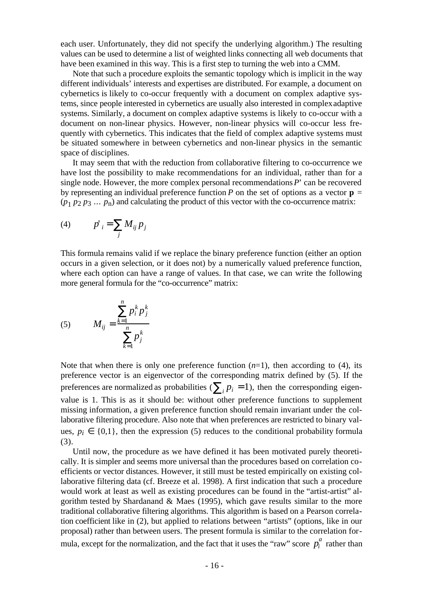each user. Unfortunately, they did not specify the underlying algorithm.) The resulting values can be used to determine a list of weighted links connecting all web documents that have been examined in this way. This is a first step to turning the web into a CMM.

Note that such a procedure exploits the semantic topology which is implicit in the way different individuals' interests and expertises are distributed. For example, a document on cybernetics is likely to co-occur frequently with a document on complex adaptive systems, since people interested in cybernetics are usually also interested in complex adaptive systems. Similarly, a document on complex adaptive systems is likely to co-occur with a document on non-linear physics. However, non-linear physics will co-occur less frequently with cybernetics. This indicates that the field of complex adaptive systems must be situated somewhere in between cybernetics and non-linear physics in the semantic space of disciplines.

It may seem that with the reduction from collaborative filtering to co-occurrence we have lost the possibility to make recommendations for an individual, rather than for a single node. However, the more complex personal recommendations *P*' can be recovered by representing an individual preference function *P* on the set of options as a vector  $\mathbf{p} =$  $(p_1 p_2 p_3 ... p_n)$  and calculating the product of this vector with the co-occurrence matrix:

$$
(4) \t p'_{i} = M_{ij} p_{j}
$$

This formula remains valid if we replace the binary preference function (either an option occurs in a given selection, or it does not) by a numerically valued preference function, where each option can have a range of values. In that case, we can write the following more general formula for the "co-occurrence" matrix:

(5) 
$$
M_{ij} = \frac{\sum_{k=1}^{n} p_i^k p_j^k}{p_j^k}
$$

$$
P_j^k
$$

Note that when there is only one preference function  $(n=1)$ , then according to (4), its preference vector is an eigenvector of the corresponding matrix defined by (5). If the preferences are normalized as probabilities ( $p_i = 1$ ), then the corresponding eigenvalue is 1. This is as it should be: without other preference functions to supplement missing information, a given preference function should remain invariant under the collaborative filtering procedure. Also note that when preferences are restricted to binary values, *pi* {0,1}, then the expression (5) reduces to the conditional probability formula (3).

Until now, the procedure as we have defined it has been motivated purely theoretically. It is simpler and seems more universal than the procedures based on correlation coefficients or vector distances. However, it still must be tested empirically on existing collaborative filtering data (cf. Breeze et al. 1998). A first indication that such a procedure would work at least as well as existing procedures can be found in the "artist-artist" algorithm tested by Shardanand  $&$  Maes (1995), which gave results similar to the more traditional collaborative filtering algorithms. This algorithm is based on a Pearson correlation coefficient like in (2), but applied to relations between "artists" (options, like in our proposal) rather than between users. The present formula is similar to the correlation formula, except for the normalization, and the fact that it uses the "raw" score  $p_i^a$  rather than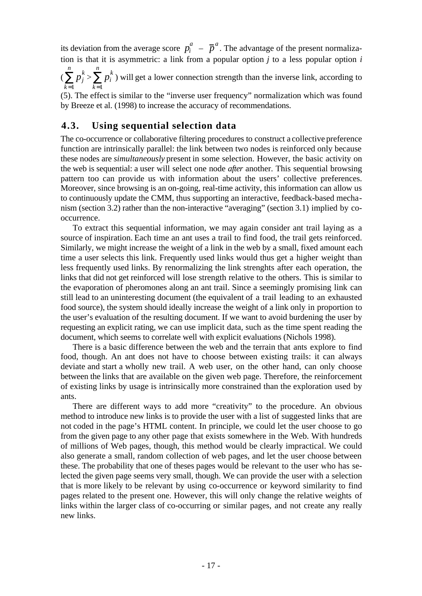its deviation from the average score  $p_i^a - \bar{p}^a$ . The advantage of the present normalization is that it is asymmetric: a link from a popular option *j* to a less popular option *i n n*

 $(p_j^k)$ *k*=1  $> p_i^k$ *k*=1 ) will get a lower connection strength than the inverse link, according to

(5). The effect is similar to the "inverse user frequency" normalization which was found by Breeze et al. (1998) to increase the accuracy of recommendations.

# **4.3. Using sequential selection data**

The co-occurrence or collaborative filtering procedures to construct a collective preference function are intrinsically parallel: the link between two nodes is reinforced only because these nodes are *simultaneously* present in some selection. However, the basic activity on the web is sequential: a user will select one node *after* another. This sequential browsing pattern too can provide us with information about the users' collective preferences. Moreover, since browsing is an on-going, real-time activity, this information can allow us to continuously update the CMM, thus supporting an interactive, feedback-based mechanism (section 3.2) rather than the non-interactive "averaging" (section 3.1) implied by cooccurrence.

To extract this sequential information, we may again consider ant trail laying as a source of inspiration. Each time an ant uses a trail to find food, the trail gets reinforced. Similarly, we might increase the weight of a link in the web by a small, fixed amount each time a user selects this link. Frequently used links would thus get a higher weight than less frequently used links. By renormalizing the link strenghts after each operation, the links that did not get reinforced will lose strength relative to the others. This is similar to the evaporation of pheromones along an ant trail. Since a seemingly promising link can still lead to an uninteresting document (the equivalent of a trail leading to an exhausted food source), the system should ideally increase the weight of a link only in proportion to the user's evaluation of the resulting document. If we want to avoid burdening the user by requesting an explicit rating, we can use implicit data, such as the time spent reading the document, which seems to correlate well with explicit evaluations (Nichols 1998).

There is a basic difference between the web and the terrain that ants explore to find food, though. An ant does not have to choose between existing trails: it can always deviate and start a wholly new trail. A web user, on the other hand, can only choose between the links that are available on the given web page. Therefore, the reinforcement of existing links by usage is intrinsically more constrained than the exploration used by ants.

There are different ways to add more "creativity" to the procedure. An obvious method to introduce new links is to provide the user with a list of suggested links that are not coded in the page's HTML content. In principle, we could let the user choose to go from the given page to any other page that exists somewhere in the Web. With hundreds of millions of Web pages, though, this method would be clearly impractical. We could also generate a small, random collection of web pages, and let the user choose between these. The probability that one of theses pages would be relevant to the user who has selected the given page seems very small, though. We can provide the user with a selection that is more likely to be relevant by using co-occurrence or keyword similarity to find pages related to the present one. However, this will only change the relative weights of links within the larger class of co-occurring or similar pages, and not create any really new links.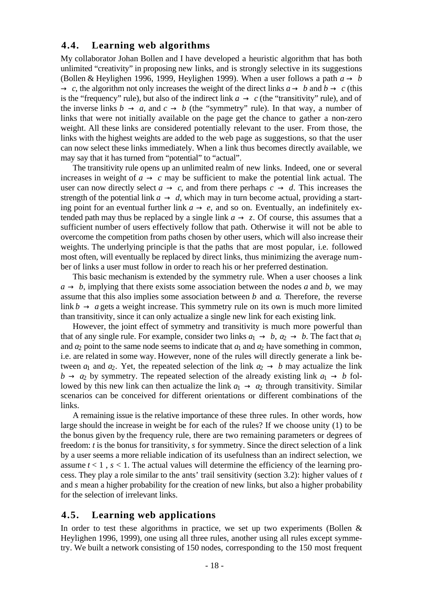# **4.4. Learning web algorithms**

My collaborator Johan Bollen and I have developed a heuristic algorithm that has both unlimited "creativity" in proposing new links, and is strongly selective in its suggestions (Bollen & Heylighen 1996, 1999, Heylighen 1999). When a user follows a path *a b*

*c*, the algorithm not only increases the weight of the direct links  $a \rightarrow b$  and  $b \rightarrow c$  (this is the "frequency" rule), but also of the indirect link  $a \cdot c$  (the "transitivity" rule), and of the inverse links  $b \qquad a$ , and  $c \qquad b$  (the "symmetry" rule). In that way, a number of links that were not initially available on the page get the chance to gather a non-zero weight. All these links are considered potentially relevant to the user. From those, the links with the highest weights are added to the web page as suggestions, so that the user can now select these links immediately. When a link thus becomes directly available, we may say that it has turned from "potential" to "actual".

The transitivity rule opens up an unlimited realm of new links. Indeed, one or several increases in weight of *a c* may be sufficient to make the potential link actual. The user can now directly select *a c*, and from there perhaps *c d*. This increases the strength of the potential link *a d*, which may in turn become actual, providing a starting point for an eventual further link *a e,* and so on. Eventually, an indefinitely extended path may thus be replaced by a single link  $a \in \mathcal{Z}$ . Of course, this assumes that a sufficient number of users effectively follow that path. Otherwise it will not be able to overcome the competition from paths chosen by other users, which will also increase their weights. The underlying principle is that the paths that are most popular, i.e. followed most often, will eventually be replaced by direct links, thus minimizing the average number of links a user must follow in order to reach his or her preferred destination.

This basic mechanism is extended by the symmetry rule. When a user chooses a link *a b*, implying that there exists some association between the nodes *a* and *b*, we may assume that this also implies some association between *b* and *a*. Therefore, the reverse link *b a* gets a weight increase. This symmetry rule on its own is much more limited than transitivity, since it can only actualize a single new link for each existing link.

However, the joint effect of symmetry and transitivity is much more powerful than that of any single rule. For example, consider two links  $a_1$  *b*,  $a_2$  *b*. The fact that  $a_1$ and  $a_2$  point to the same node seems to indicate that  $a_1$  and  $a_2$  have something in common, i.e. are related in some way. However, none of the rules will directly generate a link between  $a_1$  and  $a_2$ . Yet, the repeated selection of the link  $a_2$  *b* may actualize the link *b a*<sub>2</sub> by symmetry. The repeated selection of the already existing link  $a_1$  *b* followed by this new link can then actualize the link  $a_1$  *a*<sub>2</sub> through transitivity. Similar scenarios can be conceived for different orientations or different combinations of the links.

A remaining issue is the relative importance of these three rules. In other words, how large should the increase in weight be for each of the rules? If we choose unity (1) to be the bonus given by the frequency rule, there are two remaining parameters or degrees of freedom: *t* is the bonus for transitivity, *s* for symmetry. Since the direct selection of a link by a user seems a more reliable indication of its usefulness than an indirect selection, we assume  $t < 1$ ,  $s < 1$ . The actual values will determine the efficiency of the learning process. They play a role similar to the ants' trail sensitivity (section 3.2): higher values of *t* and *s* mean a higher probability for the creation of new links, but also a higher probability for the selection of irrelevant links.

# **4.5. Learning web applications**

In order to test these algorithms in practice, we set up two experiments (Bollen  $\&$ Heylighen 1996, 1999), one using all three rules, another using all rules except symmetry. We built a network consisting of 150 nodes, corresponding to the 150 most frequent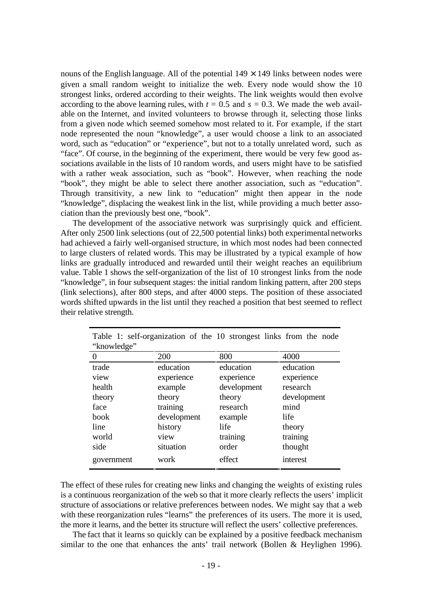nouns of the English language. All of the potential  $149 \times 149$  links between nodes were given a small random weight to initialize the web. Every node would show the 10 strongest links, ordered according to their weights. The link weights would then evolve according to the above learning rules, with  $t = 0.5$  and  $s = 0.3$ . We made the web available on the Internet, and invited volunteers to browse through it, selecting those links from a given node which seemed somehow most related to it. For example, if the start node represented the noun "knowledge", a user would choose a link to an associated word, such as "education" or "experience", but not to a totally unrelated word, such as "face". Of course, in the beginning of the experiment, there would be very few good associations available in the lists of 10 random words, and users might have to be satisfied with a rather weak association, such as "book". However, when reaching the node "book", they might be able to select there another association, such as "education". Through transitivity, a new link to "education" might then appear in the node "knowledge", displacing the weakest link in the list, while providing a much better association than the previously best one, "book".

The development of the associative network was surprisingly quick and efficient. After only 2500 link selections (out of 22,500 potential links) both experimental networks had achieved a fairly well-organised structure, in which most nodes had been connected to large clusters of related words. This may be illustrated by a typical example of how links are gradually introduced and rewarded until their weight reaches an equilibrium value. Table 1 shows the self-organization of the list of 10 strongest links from the node "knowledge", in four subsequent stages: the initial random linking pattern, after 200 steps (link selections), after 800 steps, and after 4000 steps. The position of these associated words shifted upwards in the list until they reached a position that best seemed to reflect their relative strength.

| "knowledge" |             |             |             |
|-------------|-------------|-------------|-------------|
|             | 200         | 800         | 4000        |
| trade       | education   | education   | education   |
| view        | experience  | experience  | experience  |
| health      | example     | development | research    |
| theory      | theory      | theory      | development |
| face        | training    | research    | mind        |
| book        | development | example     | life        |
| line        | history     | life        | theory      |
| world       | view        | training    | training    |
| side        | situation   | order       | thought     |
| government  | work        | effect      | interest    |

Table 1: self-organization of the 10 strongest links from the node

The effect of these rules for creating new links and changing the weights of existing rules is a continuous reorganization of the web so that it more clearly reflects the users' implicit structure of associations or relative preferences between nodes. We might say that a web with these reorganization rules "learns" the preferences of its users. The more it is used, the more it learns, and the better its structure will reflect the users' collective preferences.

The fact that it learns so quickly can be explained by a positive feedback mechanism similar to the one that enhances the ants' trail network (Bollen & Heylighen 1996).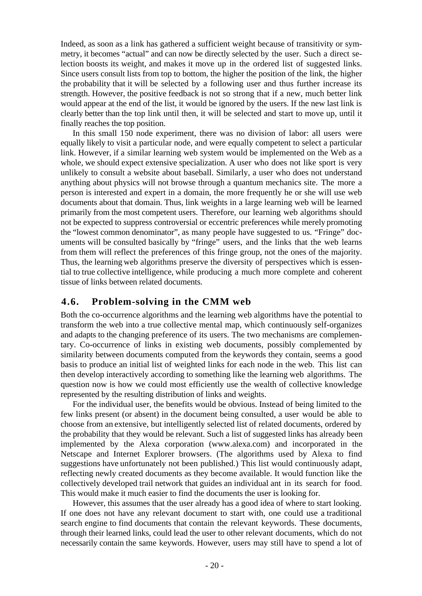Indeed, as soon as a link has gathered a sufficient weight because of transitivity or symmetry, it becomes "actual" and can now be directly selected by the user. Such a direct selection boosts its weight, and makes it move up in the ordered list of suggested links. Since users consult lists from top to bottom, the higher the position of the link, the higher the probability that it will be selected by a following user and thus further increase its strength. However, the positive feedback is not so strong that if a new, much better link would appear at the end of the list, it would be ignored by the users. If the new last link is clearly better than the top link until then, it will be selected and start to move up, until it finally reaches the top position.

In this small 150 node experiment, there was no division of labor: all users were equally likely to visit a particular node, and were equally competent to select a particular link. However, if a similar learning web system would be implemented on the Web as a whole, we should expect extensive specialization. A user who does not like sport is very unlikely to consult a website about baseball. Similarly, a user who does not understand anything about physics will not browse through a quantum mechanics site. The more a person is interested and expert in a domain, the more frequently he or she will use web documents about that domain. Thus, link weights in a large learning web will be learned primarily from the most competent users. Therefore, our learning web algorithms should not be expected to suppress controversial or eccentric preferences while merely promoting the "lowest common denominator", as many people have suggested to us. "Fringe" documents will be consulted basically by "fringe" users, and the links that the web learns from them will reflect the preferences of this fringe group, not the ones of the majority. Thus, the learning web algorithms preserve the diversity of perspectives which is essential to true collective intelligence, while producing a much more complete and coherent tissue of links between related documents.

## **4.6. Problem-solving in the CMM web**

Both the co-occurrence algorithms and the learning web algorithms have the potential to transform the web into a true collective mental map, which continuously self-organizes and adapts to the changing preference of its users. The two mechanisms are complementary. Co-occurrence of links in existing web documents, possibly complemented by similarity between documents computed from the keywords they contain, seems a good basis to produce an initial list of weighted links for each node in the web. This list can then develop interactively according to something like the learning web algorithms. The question now is how we could most efficiently use the wealth of collective knowledge represented by the resulting distribution of links and weights.

For the individual user, the benefits would be obvious. Instead of being limited to the few links present (or absent) in the document being consulted, a user would be able to choose from an extensive, but intelligently selected list of related documents, ordered by the probability that they would be relevant. Such a list of suggested links has already been implemented by the Alexa corporation (www.alexa.com) and incorporated in the Netscape and Internet Explorer browsers. (The algorithms used by Alexa to find suggestions have unfortunately not been published.) This list would continuously adapt, reflecting newly created documents as they become available. It would function like the collectively developed trail network that guides an individual ant in its search for food. This would make it much easier to find the documents the user is looking for.

However, this assumes that the user already has a good idea of where to start looking. If one does not have any relevant document to start with, one could use a traditional search engine to find documents that contain the relevant keywords. These documents, through their learned links, could lead the user to other relevant documents, which do not necessarily contain the same keywords. However, users may still have to spend a lot of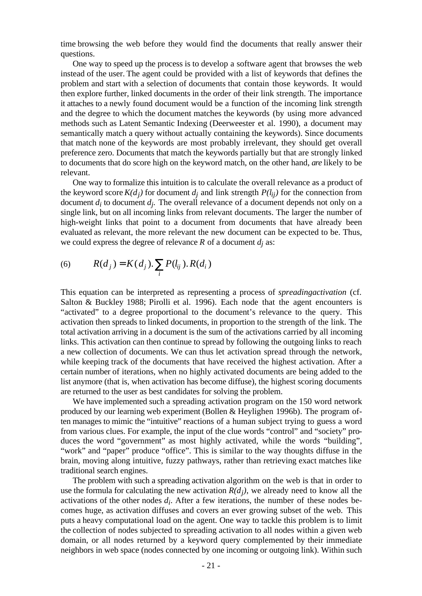time browsing the web before they would find the documents that really answer their questions.

One way to speed up the process is to develop a software agent that browses the web instead of the user. The agent could be provided with a list of keywords that defines the problem and start with a selection of documents that contain those keywords. It would then explore further, linked documents in the order of their link strength. The importance it attaches to a newly found document would be a function of the incoming link strength and the degree to which the document matches the keywords (by using more advanced methods such as Latent Semantic Indexing (Deerweester et al. 1990), a document may semantically match a query without actually containing the keywords). Since documents that match none of the keywords are most probably irrelevant, they should get overall preference zero. Documents that match the keywords partially but that are strongly linked to documents that do score high on the keyword match, on the other hand, *are* likely to be relevant.

One way to formalize this intuition is to calculate the overall relevance as a product of the keyword score  $K(d_j)$  for document  $d_j$  and link strength  $P(l_{ij})$  for the connection from document *di* to document *dj .* The overall relevance of a document depends not only on a single link, but on all incoming links from relevant documents. The larger the number of high-weight links that point to a document from documents that have already been evaluated as relevant, the more relevant the new document can be expected to be. Thus, we could express the degree of relevance *R* of a document *dj* as:

(6) 
$$
R(d_j) = K(d_j)
$$
.  $P(l_{ij})$ .  $R(d_i)$ 

This equation can be interpreted as representing a process of *spreading activation* (cf. Salton & Buckley 1988; Pirolli et al. 1996). Each node that the agent encounters is "activated" to a degree proportional to the document's relevance to the query. This activation then spreads to linked documents, in proportion to the strength of the link. The total activation arriving in a document is the sum of the activations carried by all incoming links. This activation can then continue to spread by following the outgoing links to reach a new collection of documents. We can thus let activation spread through the network, while keeping track of the documents that have received the highest activation. After a certain number of iterations, when no highly activated documents are being added to the list anymore (that is, when activation has become diffuse), the highest scoring documents are returned to the user as best candidates for solving the problem.

We have implemented such a spreading activation program on the 150 word network produced by our learning web experiment (Bollen & Heylighen 1996b). The program often manages to mimic the "intuitive" reactions of a human subject trying to guess a word from various clues. For example, the input of the clue words "control" and "society" produces the word "government" as most highly activated, while the words "building", "work" and "paper" produce "office". This is similar to the way thoughts diffuse in the brain, moving along intuitive, fuzzy pathways, rather than retrieving exact matches like traditional search engines.

The problem with such a spreading activation algorithm on the web is that in order to use the formula for calculating the new activation  $R(d_j)$ , we already need to know all the activations of the other nodes  $d_i$ . After a few iterations, the number of these nodes becomes huge, as activation diffuses and covers an ever growing subset of the web. This puts a heavy computational load on the agent. One way to tackle this problem is to limit the collection of nodes subjected to spreading activation to all nodes within a given web domain, or all nodes returned by a keyword query complemented by their immediate neighbors in web space (nodes connected by one incoming or outgoing link). Within such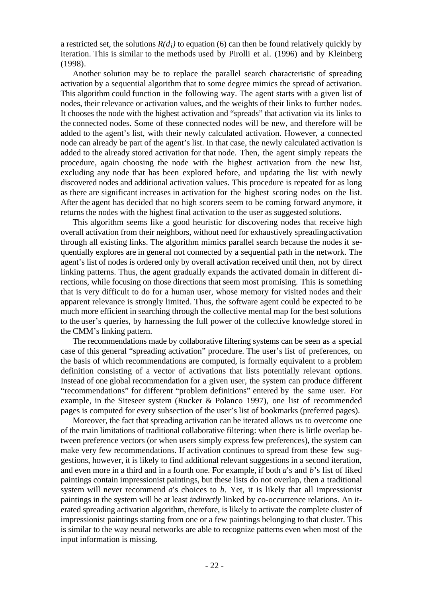a restricted set, the solutions  $R(d_i)$  to equation (6) can then be found relatively quickly by iteration. This is similar to the methods used by Pirolli et al. (1996) and by Kleinberg (1998).

Another solution may be to replace the parallel search characteristic of spreading activation by a sequential algorithm that to some degree mimics the spread of activation. This algorithm could function in the following way. The agent starts with a given list of nodes, their relevance or activation values, and the weights of their links to further nodes. It chooses the node with the highest activation and "spreads" that activation via its links to the connected nodes. Some of these connected nodes will be new, and therefore will be added to the agent's list, with their newly calculated activation. However, a connected node can already be part of the agent's list. In that case, the newly calculated activation is added to the already stored activation for that node. Then, the agent simply repeats the procedure, again choosing the node with the highest activation from the new list, excluding any node that has been explored before, and updating the list with newly discovered nodes and additional activation values. This procedure is repeated for as long as there are significant increases in activation for the highest scoring nodes on the list. After the agent has decided that no high scorers seem to be coming forward anymore, it returns the nodes with the highest final activation to the user as suggested solutions.

This algorithm seems like a good heuristic for discovering nodes that receive high overall activation from their neighbors, without need for exhaustively spreading activation through all existing links. The algorithm mimics parallel search because the nodes it sequentially explores are in general not connected by a sequential path in the network. The agent's list of nodes is ordered only by overall activation received until then, not by direct linking patterns. Thus, the agent gradually expands the activated domain in different directions, while focusing on those directions that seem most promising. This is something that is very difficult to do for a human user, whose memory for visited nodes and their apparent relevance is strongly limited. Thus, the software agent could be expected to be much more efficient in searching through the collective mental map for the best solutions to the user's queries, by harnessing the full power of the collective knowledge stored in the CMM's linking pattern.

The recommendations made by collaborative filtering systems can be seen as a special case of this general "spreading activation" procedure. The user's list of preferences, on the basis of which recommendations are computed, is formally equivalent to a problem definition consisting of a vector of activations that lists potentially relevant options. Instead of one global recommendation for a given user, the system can produce different "recommendations" for different "problem definitions" entered by the same user. For example, in the Siteseer system (Rucker & Polanco 1997), one list of recommended pages is computed for every subsection of the user's list of bookmarks (preferred pages).

Moreover, the fact that spreading activation can be iterated allows us to overcome one of the main limitations of traditional collaborative filtering: when there is little overlap between preference vectors (or when users simply express few preferences), the system can make very few recommendations. If activation continues to spread from these few suggestions, however, it is likely to find additional relevant suggestions in a second iteration, and even more in a third and in a fourth one. For example, if both *a*'s and *b*'s list of liked paintings contain impressionist paintings, but these lists do not overlap, then a traditional system will never recommend *a*'s choices to *b*. Yet, it is likely that all impressionist paintings in the system will be at least *indirectly* linked by co-occurrence relations. An iterated spreading activation algorithm, therefore, is likely to activate the complete cluster of impressionist paintings starting from one or a few paintings belonging to that cluster. This is similar to the way neural networks are able to recognize patterns even when most of the input information is missing.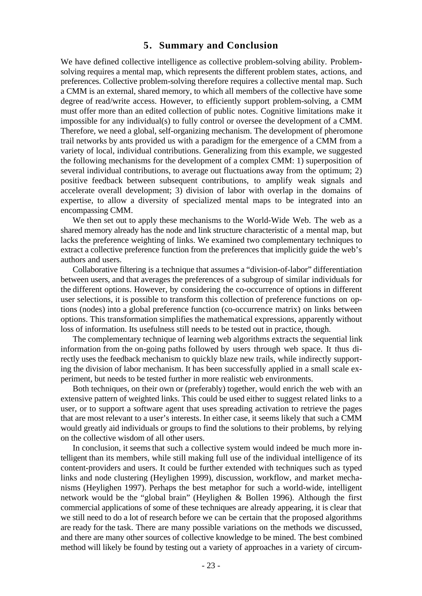#### **5. Summary and Conclusion**

We have defined collective intelligence as collective problem-solving ability. Problemsolving requires a mental map, which represents the different problem states, actions, and preferences. Collective problem-solving therefore requires a collective mental map. Such a CMM is an external, shared memory, to which all members of the collective have some degree of read/write access. However, to efficiently support problem-solving, a CMM must offer more than an edited collection of public notes. Cognitive limitations make it impossible for any individual(s) to fully control or oversee the development of a CMM. Therefore, we need a global, self-organizing mechanism. The development of pheromone trail networks by ants provided us with a paradigm for the emergence of a CMM from a variety of local, individual contributions. Generalizing from this example, we suggested the following mechanisms for the development of a complex CMM: 1) superposition of several individual contributions, to average out fluctuations away from the optimum; 2) positive feedback between subsequent contributions, to amplify weak signals and accelerate overall development; 3) division of labor with overlap in the domains of expertise, to allow a diversity of specialized mental maps to be integrated into an encompassing CMM.

We then set out to apply these mechanisms to the World-Wide Web. The web as a shared memory already has the node and link structure characteristic of a mental map, but lacks the preference weighting of links. We examined two complementary techniques to extract a collective preference function from the preferences that implicitly guide the web's authors and users.

Collaborative filtering is a technique that assumes a "division-of-labor" differentiation between users, and that averages the preferences of a subgroup of similar individuals for the different options. However, by considering the co-occurrence of options in different user selections, it is possible to transform this collection of preference functions on options (nodes) into a global preference function (co-occurrence matrix) on links between options. This transformation simplifies the mathematical expressions, apparently without loss of information. Its usefulness still needs to be tested out in practice, though.

The complementary technique of learning web algorithms extracts the sequential link information from the on-going paths followed by users through web space. It thus directly uses the feedback mechanism to quickly blaze new trails, while indirectly supporting the division of labor mechanism. It has been successfully applied in a small scale experiment, but needs to be tested further in more realistic web environments.

Both techniques, on their own or (preferably) together, would enrich the web with an extensive pattern of weighted links. This could be used either to suggest related links to a user, or to support a software agent that uses spreading activation to retrieve the pages that are most relevant to a user's interests. In either case, it seems likely that such a CMM would greatly aid individuals or groups to find the solutions to their problems, by relying on the collective wisdom of all other users.

In conclusion, it seems that such a collective system would indeed be much more intelligent than its members, while still making full use of the individual intelligence of its content-providers and users. It could be further extended with techniques such as typed links and node clustering (Heylighen 1999), discussion, workflow, and market mechanisms (Heylighen 1997). Perhaps the best metaphor for such a world-wide, intelligent network would be the "global brain" (Heylighen & Bollen 1996). Although the first commercial applications of some of these techniques are already appearing, it is clear that we still need to do a lot of research before we can be certain that the proposed algorithms are ready for the task. There are many possible variations on the methods we discussed, and there are many other sources of collective knowledge to be mined. The best combined method will likely be found by testing out a variety of approaches in a variety of circum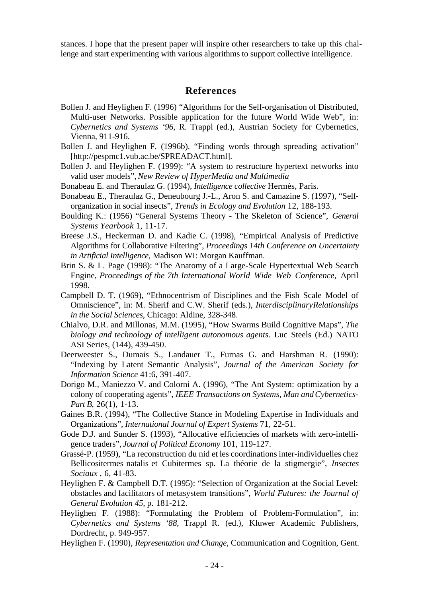stances. I hope that the present paper will inspire other researchers to take up this challenge and start experimenting with various algorithms to support collective intelligence.

#### **References**

- Bollen J. and Heylighen F. (1996) "Algorithms for the Self-organisation of Distributed, Multi-user Networks. Possible application for the future World Wide Web", in: *Cybernetics and Systems '96,* R. Trappl (ed.), Austrian Society for Cybernetics, Vienna, 911-916.
- Bollen J. and Heylighen F. (1996b). "Finding words through spreading activation" [http://pespmc1.vub.ac.be/SPREADACT.html].
- Bollen J. and Heylighen F. (1999): "A system to restructure hypertext networks into valid user models", *New Review of HyperMedia and Multimedia*
- Bonabeau E. and Theraulaz G. (1994), *Intelligence collective* Hermès, Paris.
- Bonabeau E., Theraulaz G., Deneubourg J.-L., Aron S. and Camazine S. (1997), "Selforganization in social insects", *Trends in Ecology and Evolution* 12, 188-193.
- Boulding K.: (1956) "General Systems Theory The Skeleton of Science", *General Systems Yearbook* 1, 11-17.
- Breese J.S., Heckerman D. and Kadie C. (1998), "Empirical Analysis of Predictive Algorithms for Collaborative Filtering", *Proceedings 14th Conference on Uncertainty in Artificial Intelligence*, Madison WI: Morgan Kauffman.
- Brin S. & L. Page (1998): "The Anatomy of a Large-Scale Hypertextual Web Search Engine, *Proceedings of the 7th International World Wide Web Conference*, April 1998.
- Campbell D. T. (1969), "Ethnocentrism of Disciplines and the Fish Scale Model of Omniscience", in: M. Sherif and C.W. Sherif (eds.), *Interdisciplinary Relationships in the Social Sciences*, Chicago: Aldine, 328-348.
- Chialvo, D.R. and Millonas, M.M. (1995), "How Swarms Build Cognitive Maps", *The biology and technology of intelligent autonomous agents*. Luc Steels (Ed.) NATO ASI Series, (144), 439-450.
- Deerweester S., Dumais S., Landauer T., Furnas G. and Harshman R. (1990): "Indexing by Latent Semantic Analysis", *Journal of the American Society for Information Science* 41:6, 391-407.
- Dorigo M., Maniezzo V. and Colorni A. (1996), "The Ant System: optimization by a colony of cooperating agents", *IEEE Transactions on Systems, Man and Cybernetics-Part B*, 26(1), 1-13.
- Gaines B.R. (1994), "The Collective Stance in Modeling Expertise in Individuals and Organizations", *International Journal of Expert Systems* 71, 22-51.
- Gode D.J. and Sunder S. (1993), "Allocative efficiencies of markets with zero-intelligence traders", *Journal of Political Economy* 101, 119-127.
- Grassé-P. (1959), "La reconstruction du nid et les coordinations inter-individuelles chez Bellicositermes natalis et Cubitermes sp. La théorie de la stigmergie", *Insectes Sociaux* , 6, 41-83.
- Heylighen F. & Campbell D.T. (1995): "Selection of Organization at the Social Level: obstacles and facilitators of metasystem transitions", *World Futures: the Journal of General Evolution 45,* p. 181-212.
- Heylighen F. (1988): "Formulating the Problem of Problem-Formulation", in: *Cybernetics and Systems '88*, Trappl R. (ed.), Kluwer Academic Publishers, Dordrecht, p. 949-957.
- Heylighen F. (1990), *Representation and Change*, Communication and Cognition, Gent.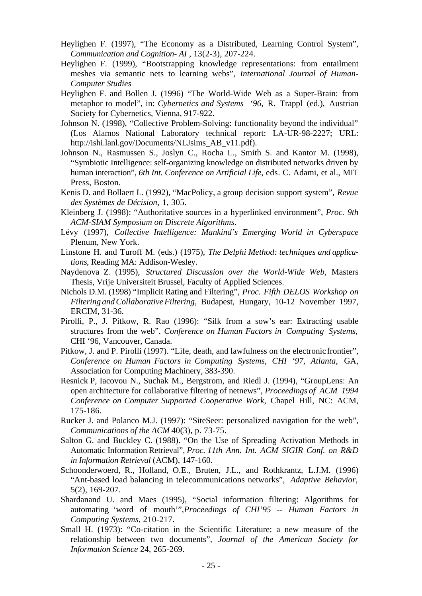- Heylighen F. (1997), "The Economy as a Distributed, Learning Control System", *Communication and Cognition- AI* , 13(2-3), 207-224.
- Heylighen F. (1999), "Bootstrapping knowledge representations: from entailment meshes via semantic nets to learning webs", *International Journal of Human-Computer Studies*
- Heylighen F. and Bollen J. (1996) "The World-Wide Web as a Super-Brain: from metaphor to model", in: *Cybernetics and Systems '96,* R. Trappl (ed.), Austrian Society for Cybernetics, Vienna, 917-922.
- Johnson N. (1998), "Collective Problem-Solving: functionality beyond the individual" (Los Alamos National Laboratory technical report: LA-UR-98-2227; URL: http://ishi.lanl.gov/Documents/NLJsims\_AB\_v11.pdf).
- Johnson N., Rasmussen S., Joslyn C., Rocha L., Smith S. and Kantor M. (1998), "Symbiotic Intelligence: self-organizing knowledge on distributed networks driven by human interaction", *6th Int. Conference on Artificial Life*, eds. C. Adami, et al., MIT Press, Boston.
- Kenis D. and Bollaert L. (1992), "MacPolicy, a group decision support system", *Revue des Systèmes de Décision,* 1, 305.
- Kleinberg J. (1998): "Authoritative sources in a hyperlinked environment", *Proc. 9th ACM-SIAM Symposium on Discrete Algorithms*.
- Lévy (1997), *Collective Intelligence: Mankind's Emerging World in Cyberspace* Plenum, New York.
- Linstone H. and Turoff M. (eds.) (1975), *The Delphi Method: techniques and applications*, Reading MA: Addison-Wesley.
- Naydenova Z. (1995), *Structured Discussion over the World-Wide Web*, Masters Thesis, Vrije Universiteit Brussel, Faculty of Applied Sciences.
- Nichols D.M. (1998) "Implicit Rating and Filtering", *Proc. Fifth DELOS Workshop on Filtering and Collaborative Filtering*, Budapest, Hungary, 10-12 November 1997, ERCIM, 31-36.
- Pirolli, P., J. Pitkow, R. Rao (1996): "Silk from a sow's ear: Extracting usable structures from the web". *Conference on Human Factors in Computing Systems*, CHI '96, Vancouver, Canada.
- Pitkow, J. and P. Pirolli (1997). "Life, death, and lawfulness on the electronic frontier", *Conference on Human Factors in Computing Systems, CHI '97, Atlanta*, GA, Association for Computing Machinery, 383-390.
- Resnick P, Iacovou N., Suchak M., Bergstrom, and Riedl J. (1994), "GroupLens: An open architecture for collaborative filtering of netnews", *Proceedings of ACM 1994 Conference on Computer Supported Cooperative Work*, Chapel Hill, NC: ACM, 175-186.
- Rucker J. and Polanco M.J. (1997): "SiteSeer: personalized navigation for the web", *Communications of the ACM* 40(3), p. 73-75.
- Salton G. and Buckley C. (1988). "On the Use of Spreading Activation Methods in Automatic Information Retrieval", *Proc. 11th Ann. Int. ACM SIGIR Conf. on R&D in Information Retrieval* (ACM), 147-160.
- Schoonderwoerd, R., Holland, O.E., Bruten, J.L., and Rothkrantz, L.J.M. (1996) "Ant-based load balancing in telecommunications networks", *Adaptive Behavior*, 5(2), 169-207.
- Shardanand U. and Maes (1995), "Social information filtering: Algorithms for automating 'word of mouth'",*Proceedings of CHI'95 -- Human Factors in Computing Systems*, 210-217.
- Small H. (1973): "Co-citation in the Scientific Literature: a new measure of the relationship between two documents", *Journal of the American Society for Information Science* 24, 265-269.